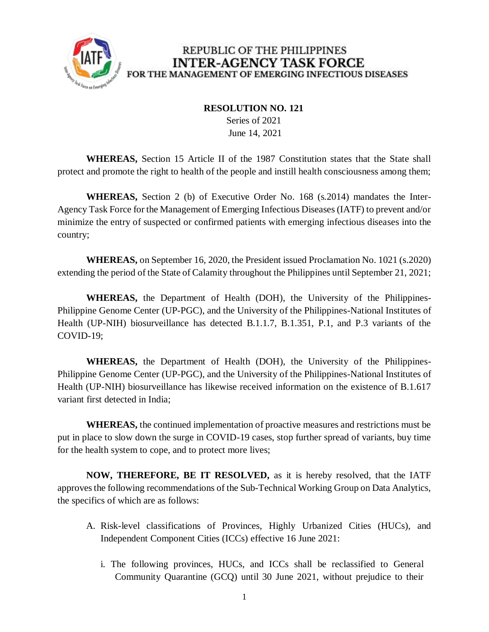

#### **RESOLUTION NO. 121**

 Series of 2021 June 14, 2021

**WHEREAS,** Section 15 Article II of the 1987 Constitution states that the State shall protect and promote the right to health of the people and instill health consciousness among them;

**WHEREAS,** Section 2 (b) of Executive Order No. 168 (s.2014) mandates the Inter-Agency Task Force for the Management of Emerging Infectious Diseases (IATF) to prevent and/or minimize the entry of suspected or confirmed patients with emerging infectious diseases into the country;

**WHEREAS,** on September 16, 2020, the President issued Proclamation No. 1021 (s.2020) extending the period of the State of Calamity throughout the Philippines until September 21, 2021;

**WHEREAS,** the Department of Health (DOH), the University of the Philippines-Philippine Genome Center (UP-PGC), and the University of the Philippines-National Institutes of Health (UP-NIH) biosurveillance has detected B.1.1.7, B.1.351, P.1, and P.3 variants of the COVID-19;

**WHEREAS,** the Department of Health (DOH), the University of the Philippines-Philippine Genome Center (UP-PGC), and the University of the Philippines-National Institutes of Health (UP-NIH) biosurveillance has likewise received information on the existence of B.1.617 variant first detected in India;

**WHEREAS,** the continued implementation of proactive measures and restrictions must be put in place to slow down the surge in COVID-19 cases, stop further spread of variants, buy time for the health system to cope, and to protect more lives;

**NOW, THEREFORE, BE IT RESOLVED,** as it is hereby resolved, that the IATF approves the following recommendations of the Sub-Technical Working Group on Data Analytics, the specifics of which are as follows:

- A. Risk-level classifications of Provinces, Highly Urbanized Cities (HUCs), and Independent Component Cities (ICCs) effective 16 June 2021:
	- i. The following provinces, HUCs, and ICCs shall be reclassified to General Community Quarantine (GCQ) until 30 June 2021, without prejudice to their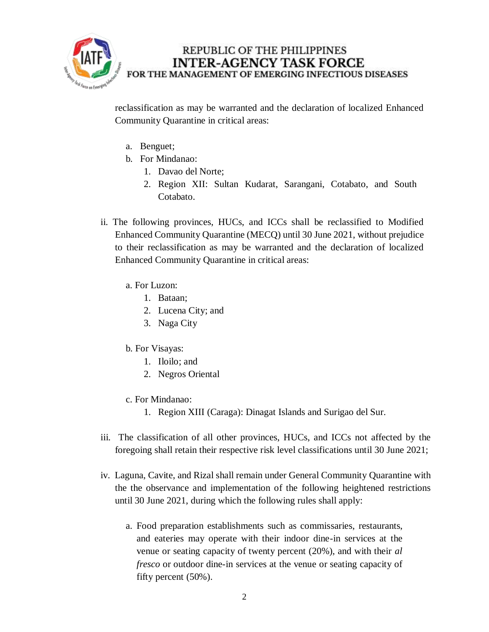

reclassification as may be warranted and the declaration of localized Enhanced Community Quarantine in critical areas:

- a. Benguet;
- b. For Mindanao:
	- 1. Davao del Norte;
	- 2. Region XII: Sultan Kudarat, Sarangani, Cotabato, and South Cotabato.
- ii. The following provinces, HUCs, and ICCs shall be reclassified to Modified Enhanced Community Quarantine (MECQ) until 30 June 2021, without prejudice to their reclassification as may be warranted and the declaration of localized Enhanced Community Quarantine in critical areas:
	- a. For Luzon:
		- 1. Bataan;
		- 2. Lucena City; and
		- 3. Naga City
	- b. For Visayas:
		- 1. Iloilo; and
		- 2. Negros Oriental
	- c. For Mindanao:
		- 1. Region XIII (Caraga): Dinagat Islands and Surigao del Sur.
- iii. The classification of all other provinces, HUCs, and ICCs not affected by the foregoing shall retain their respective risk level classifications until 30 June 2021;
- iv. Laguna, Cavite, and Rizal shall remain under General Community Quarantine with the the observance and implementation of the following heightened restrictions until 30 June 2021, during which the following rules shall apply:
	- a. Food preparation establishments such as commissaries, restaurants, and eateries may operate with their indoor dine-in services at the venue or seating capacity of twenty percent (20%), and with their *al fresco* or outdoor dine-in services at the venue or seating capacity of fifty percent (50%).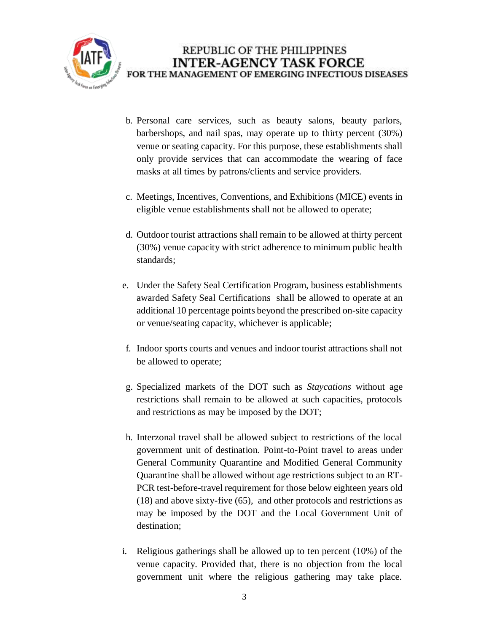

- b. Personal care services, such as beauty salons, beauty parlors, barbershops, and nail spas, may operate up to thirty percent (30%) venue or seating capacity. For this purpose, these establishments shall only provide services that can accommodate the wearing of face masks at all times by patrons/clients and service providers.
- c. Meetings, Incentives, Conventions, and Exhibitions (MICE) events in eligible venue establishments shall not be allowed to operate;
- d. Outdoor tourist attractions shall remain to be allowed at thirty percent (30%) venue capacity with strict adherence to minimum public health standards;
- e. Under the Safety Seal Certification Program, business establishments awarded Safety Seal Certifications shall be allowed to operate at an additional 10 percentage points beyond the prescribed on-site capacity or venue/seating capacity, whichever is applicable;
- f. Indoor sports courts and venues and indoor tourist attractions shall not be allowed to operate;
- g. Specialized markets of the DOT such as *Staycations* without age restrictions shall remain to be allowed at such capacities, protocols and restrictions as may be imposed by the DOT;
- h. Interzonal travel shall be allowed subject to restrictions of the local government unit of destination. Point-to-Point travel to areas under General Community Quarantine and Modified General Community Quarantine shall be allowed without age restrictions subject to an RT-PCR test-before-travel requirement for those below eighteen years old (18) and above sixty-five (65), and other protocols and restrictions as may be imposed by the DOT and the Local Government Unit of destination;
- i. Religious gatherings shall be allowed up to ten percent (10%) of the venue capacity. Provided that, there is no objection from the local government unit where the religious gathering may take place.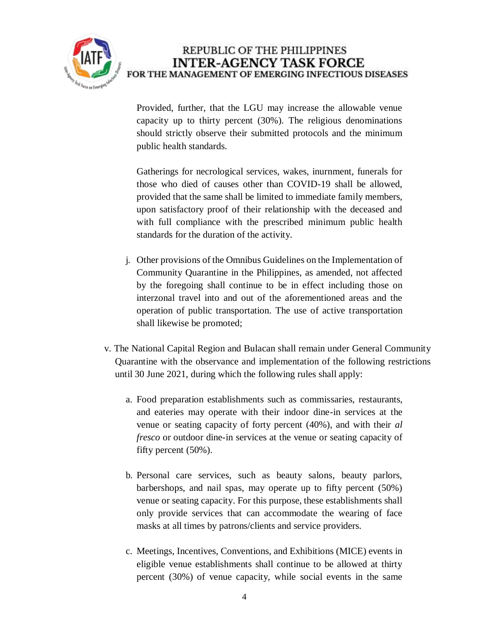

Provided, further, that the LGU may increase the allowable venue capacity up to thirty percent (30%). The religious denominations should strictly observe their submitted protocols and the minimum public health standards.

Gatherings for necrological services, wakes, inurnment, funerals for those who died of causes other than COVID-19 shall be allowed, provided that the same shall be limited to immediate family members, upon satisfactory proof of their relationship with the deceased and with full compliance with the prescribed minimum public health standards for the duration of the activity.

- j. Other provisions of the Omnibus Guidelines on the Implementation of Community Quarantine in the Philippines, as amended, not affected by the foregoing shall continue to be in effect including those on interzonal travel into and out of the aforementioned areas and the operation of public transportation. The use of active transportation shall likewise be promoted;
- v. The National Capital Region and Bulacan shall remain under General Community Quarantine with the observance and implementation of the following restrictions until 30 June 2021, during which the following rules shall apply:
	- a. Food preparation establishments such as commissaries, restaurants, and eateries may operate with their indoor dine-in services at the venue or seating capacity of forty percent (40%), and with their *al fresco* or outdoor dine-in services at the venue or seating capacity of fifty percent (50%).
	- b. Personal care services, such as beauty salons, beauty parlors, barbershops, and nail spas, may operate up to fifty percent (50%) venue or seating capacity. For this purpose, these establishments shall only provide services that can accommodate the wearing of face masks at all times by patrons/clients and service providers.
	- c. Meetings, Incentives, Conventions, and Exhibitions (MICE) events in eligible venue establishments shall continue to be allowed at thirty percent (30%) of venue capacity, while social events in the same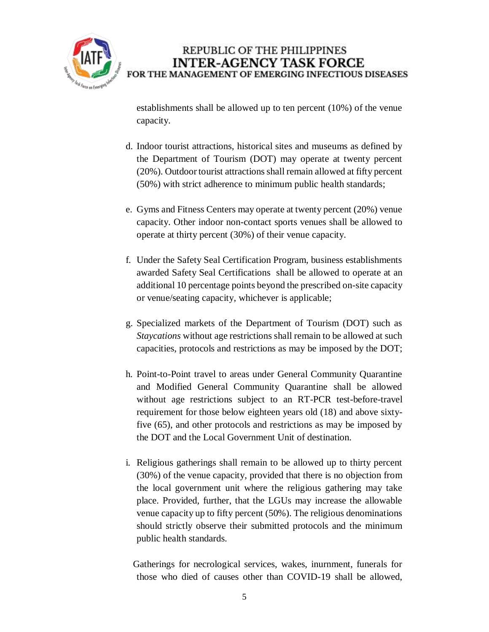

establishments shall be allowed up to ten percent (10%) of the venue capacity.

- d. Indoor tourist attractions, historical sites and museums as defined by the Department of Tourism (DOT) may operate at twenty percent (20%). Outdoor tourist attractions shall remain allowed at fifty percent (50%) with strict adherence to minimum public health standards;
- e. Gyms and Fitness Centers may operate at twenty percent (20%) venue capacity. Other indoor non-contact sports venues shall be allowed to operate at thirty percent (30%) of their venue capacity.
- f. Under the Safety Seal Certification Program, business establishments awarded Safety Seal Certifications shall be allowed to operate at an additional 10 percentage points beyond the prescribed on-site capacity or venue/seating capacity, whichever is applicable;
- g. Specialized markets of the Department of Tourism (DOT) such as *Staycations* without age restrictions shall remain to be allowed at such capacities, protocols and restrictions as may be imposed by the DOT;
- h. Point-to-Point travel to areas under General Community Quarantine and Modified General Community Quarantine shall be allowed without age restrictions subject to an RT-PCR test-before-travel requirement for those below eighteen years old (18) and above sixtyfive (65), and other protocols and restrictions as may be imposed by the DOT and the Local Government Unit of destination.
- i. Religious gatherings shall remain to be allowed up to thirty percent (30%) of the venue capacity, provided that there is no objection from the local government unit where the religious gathering may take place. Provided, further, that the LGUs may increase the allowable venue capacity up to fifty percent (50%). The religious denominations should strictly observe their submitted protocols and the minimum public health standards.

 Gatherings for necrological services, wakes, inurnment, funerals for those who died of causes other than COVID-19 shall be allowed,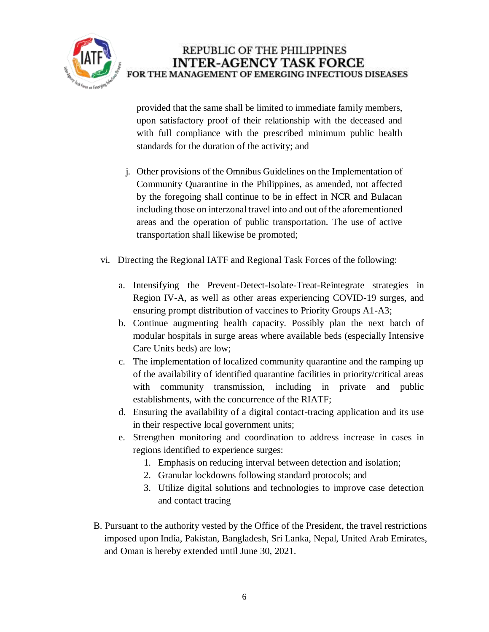

provided that the same shall be limited to immediate family members, upon satisfactory proof of their relationship with the deceased and with full compliance with the prescribed minimum public health standards for the duration of the activity; and

- j. Other provisions of the Omnibus Guidelines on the Implementation of Community Quarantine in the Philippines, as amended, not affected by the foregoing shall continue to be in effect in NCR and Bulacan including those on interzonal travel into and out of the aforementioned areas and the operation of public transportation. The use of active transportation shall likewise be promoted;
- vi. Directing the Regional IATF and Regional Task Forces of the following:
	- a. Intensifying the Prevent-Detect-Isolate-Treat-Reintegrate strategies in Region IV-A, as well as other areas experiencing COVID-19 surges, and ensuring prompt distribution of vaccines to Priority Groups A1-A3;
	- b. Continue augmenting health capacity. Possibly plan the next batch of modular hospitals in surge areas where available beds (especially Intensive Care Units beds) are low;
	- c. The implementation of localized community quarantine and the ramping up of the availability of identified quarantine facilities in priority/critical areas with community transmission, including in private and public establishments, with the concurrence of the RIATF;
	- d. Ensuring the availability of a digital contact-tracing application and its use in their respective local government units;
	- e. Strengthen monitoring and coordination to address increase in cases in regions identified to experience surges:
		- 1. Emphasis on reducing interval between detection and isolation;
		- 2. Granular lockdowns following standard protocols; and
		- 3. Utilize digital solutions and technologies to improve case detection and contact tracing
- B. Pursuant to the authority vested by the Office of the President, the travel restrictions imposed upon India, Pakistan, Bangladesh, Sri Lanka, Nepal, United Arab Emirates, and Oman is hereby extended until June 30, 2021.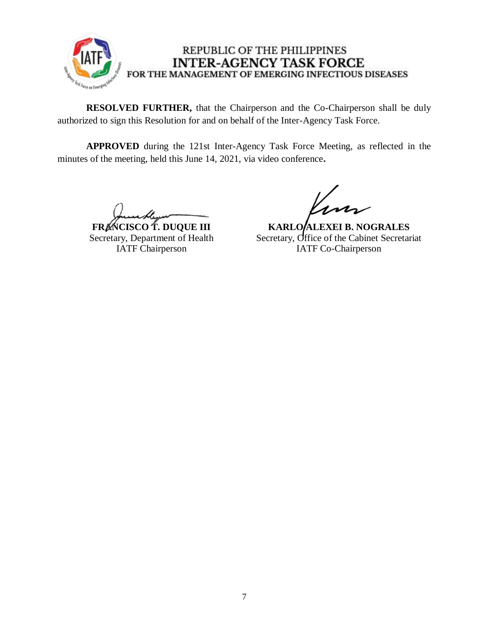

**RESOLVED FURTHER,** that the Chairperson and the Co-Chairperson shall be duly authorized to sign this Resolution for and on behalf of the Inter-Agency Task Force.

**APPROVED** during the 121st Inter-Agency Task Force Meeting, as reflected in the minutes of the meeting, held this June 14, 2021, via video conference**.**

**FRANCISCO T. DUQUE III** Secretary, Department of Health IATF Chairperson

**KARLO/ALEXEI B. NOGRALES** Secretary, Office of the Cabinet Secretariat IATF Co-Chairperson